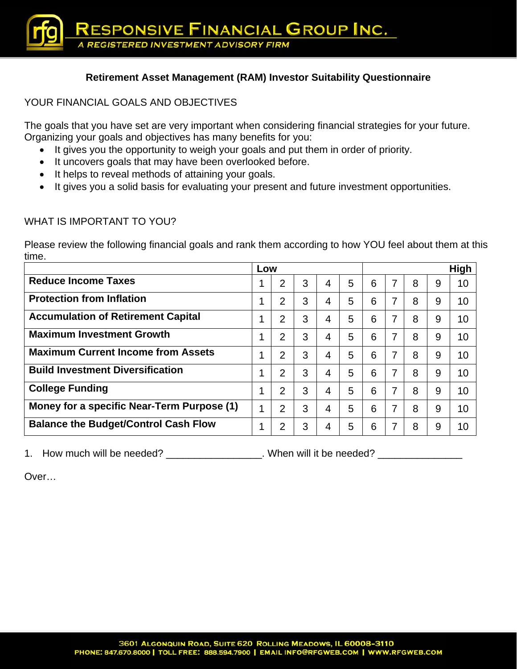## **Retirement Asset Management (RAM) Investor Suitability Questionnaire**

#### YOUR FINANCIAL GOALS AND OBJECTIVES

The goals that you have set are very important when considering financial strategies for your future. Organizing your goals and objectives has many benefits for you:

- It gives you the opportunity to weigh your goals and put them in order of priority.
- It uncovers goals that may have been overlooked before.
- It helps to reveal methods of attaining your goals.
- It gives you a solid basis for evaluating your present and future investment opportunities.

#### WHAT IS IMPORTANT TO YOU?

Please review the following financial goals and rank them according to how YOU feel about them at this time.

|                                             | Low |                |   |   |   |   |   | <b>High</b> |   |    |
|---------------------------------------------|-----|----------------|---|---|---|---|---|-------------|---|----|
| <b>Reduce Income Taxes</b>                  |     | $\overline{2}$ | 3 | 4 | 5 | 6 | 7 | 8           | 9 | 10 |
| <b>Protection from Inflation</b>            | и   | $\overline{2}$ | 3 | 4 | 5 | 6 | 7 | 8           | 9 | 10 |
| <b>Accumulation of Retirement Capital</b>   | 4   | $\overline{2}$ | 3 | 4 | 5 | 6 | 7 | 8           | 9 | 10 |
| <b>Maximum Investment Growth</b>            | 4   | $\overline{2}$ | 3 | 4 | 5 | 6 | 7 | 8           | 9 | 10 |
| <b>Maximum Current Income from Assets</b>   | 4   | $\overline{2}$ | 3 | 4 | 5 | 6 | 7 | 8           | 9 | 10 |
| <b>Build Investment Diversification</b>     | 4   | $\overline{2}$ | 3 | 4 | 5 | 6 | 7 | 8           | 9 | 10 |
| <b>College Funding</b>                      | 1   | $\overline{2}$ | 3 | 4 | 5 | 6 | 7 | 8           | 9 | 10 |
| Money for a specific Near-Term Purpose (1)  |     | $\overline{2}$ | 3 | 4 | 5 | 6 | 7 | 8           | 9 | 10 |
| <b>Balance the Budget/Control Cash Flow</b> | ◢   | 2              | 3 | 4 | 5 | 6 |   | 8           | 9 | 10 |

1. How much will be needed? \_\_\_\_\_\_\_\_\_\_\_\_\_\_\_\_. When will it be needed? \_\_\_\_\_\_\_\_\_\_

Over…